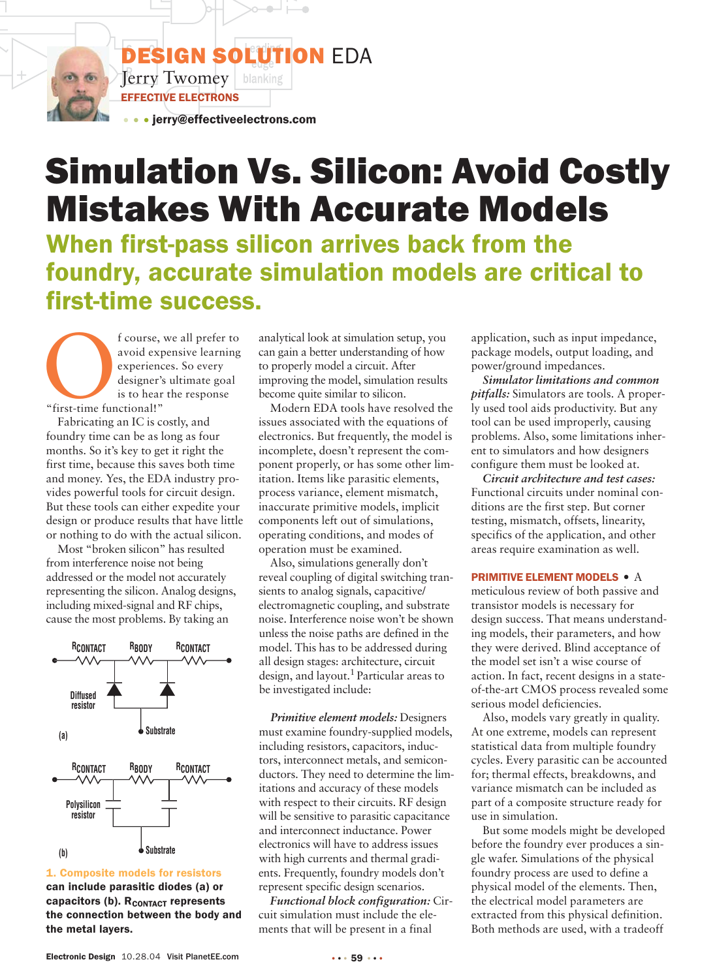**DESIGN SOLUTION EDA**  $\sqrt{\text{Perry}}$  Twomey | blanking EFFECTIVE ELECTRONS

• • jerry@effectiveelectrons.com

# Simulation Vs. Silicon: Avoid Costly Mistakes With Accurate Models

When first-pass silicon arrives back from the foundry, accurate simulation models are critical to first-time success.

f course, we all prefer to<br>avoid expensive learning<br>experiences. So every<br>designer's ultimate goal<br>is to hear the response<br>"first-time functional!" avoid expensive learning experiences. So every designer's ultimate goal is to hear the response "first-time functional!"

Fabricating an IC is costly, and foundry time can be as long as four months. So it's key to get it right the first time, because this saves both time and money. Yes, the EDA industry provides powerful tools for circuit design. But these tools can either expedite your design or produce results that have little or nothing to do with the actual silicon.

Most "broken silicon" has resulted from interference noise not being addressed or the model not accurately representing the silicon. Analog designs, including mixed-signal and RF chips, cause the most problems. By taking an



1. Composite models for resistors can include parasitic diodes (a) or capacitors (b). R<sub>CONTACT</sub> represents the connection between the body and the metal layers.

analytical look at simulation setup, you can gain a better understanding of how to properly model a circuit. After improving the model, simulation results become quite similar to silicon.

Modern EDA tools have resolved the issues associated with the equations of electronics. But frequently, the model is incomplete, doesn't represent the component properly, or has some other limitation. Items like parasitic elements, process variance, element mismatch, inaccurate primitive models, implicit components left out of simulations, operating conditions, and modes of operation must be examined.

Also, simulations generally don't reveal coupling of digital switching transients to analog signals, capacitive/ electromagnetic coupling, and substrate noise. Interference noise won't be shown unless the noise paths are defined in the model. This has to be addressed during all design stages: architecture, circuit design, and layout.1 Particular areas to be investigated include:

*Primitive element models:* Designers must examine foundry-supplied models, including resistors, capacitors, inductors, interconnect metals, and semiconductors. They need to determine the limitations and accuracy of these models with respect to their circuits. RF design will be sensitive to parasitic capacitance and interconnect inductance. Power electronics will have to address issues with high currents and thermal gradients. Frequently, foundry models don't represent specific design scenarios.

*Functional block configuration:* Circuit simulation must include the elements that will be present in a final

application, such as input impedance, package models, output loading, and power/ground impedances.

*Simulator limitations and common pitfalls:* Simulators are tools. A properly used tool aids productivity. But any tool can be used improperly, causing problems. Also, some limitations inherent to simulators and how designers configure them must be looked at.

*Circuit architecture and test cases:* Functional circuits under nominal conditions are the first step. But corner testing, mismatch, offsets, linearity, specifics of the application, and other areas require examination as well.

#### PRIMITIVE ELEMENT MODELS • A

meticulous review of both passive and transistor models is necessary for design success. That means understanding models, their parameters, and how they were derived. Blind acceptance of the model set isn't a wise course of action. In fact, recent designs in a stateof-the-art CMOS process revealed some serious model deficiencies.

Also, models vary greatly in quality. At one extreme, models can represent statistical data from multiple foundry cycles. Every parasitic can be accounted for; thermal effects, breakdowns, and variance mismatch can be included as part of a composite structure ready for use in simulation.

But some models might be developed before the foundry ever produces a single wafer. Simulations of the physical foundry process are used to define a physical model of the elements. Then, the electrical model parameters are extracted from this physical definition. Both methods are used, with a tradeoff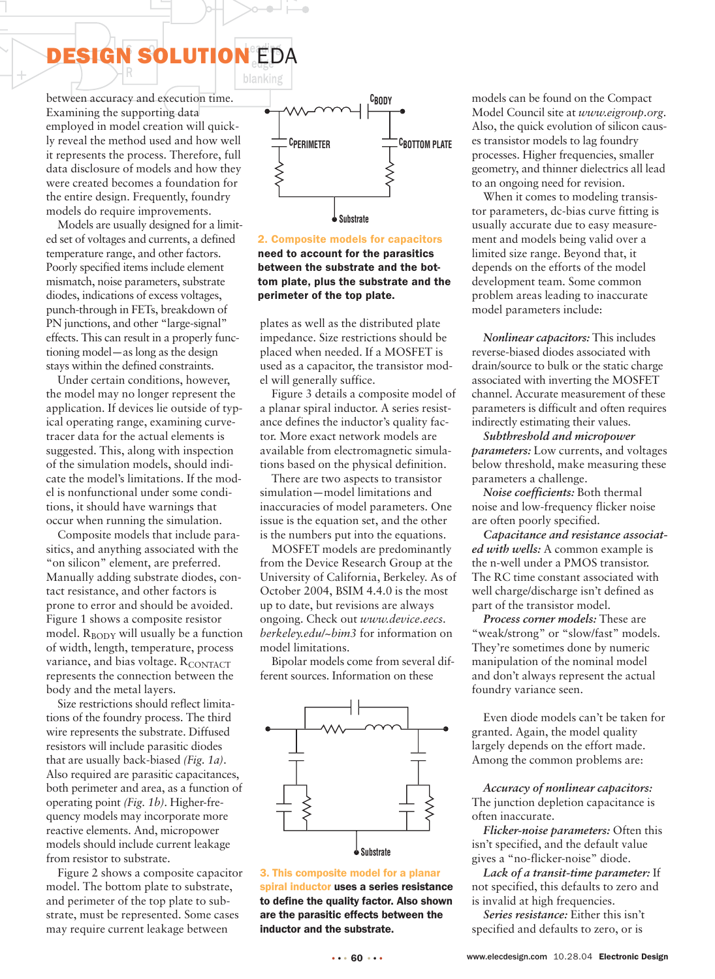# DESIGN SOLUTION EDA

between accuracy and execution time. Examining the supporting data employed in model creation will quickly reveal the method used and how well it represents the process. Therefore, full data disclosure of models and how they were created becomes a foundation for the entire design. Frequently, foundry models do require improvements.

Models are usually designed for a limited set of voltages and currents, a defined temperature range, and other factors. Poorly specified items include element mismatch, noise parameters, substrate diodes, indications of excess voltages, punch-through in FETs, breakdown of PN junctions, and other "large-signal" effects. This can result in a properly functioning model—as long as the design stays within the defined constraints.

Under certain conditions, however, the model may no longer represent the application. If devices lie outside of typical operating range, examining curvetracer data for the actual elements is suggested. This, along with inspection of the simulation models, should indicate the model's limitations. If the model is nonfunctional under some conditions, it should have warnings that occur when running the simulation.

Composite models that include parasitics, and anything associated with the "on silicon" element, are preferred. Manually adding substrate diodes, contact resistance, and other factors is prone to error and should be avoided. Figure 1 shows a composite resistor model.  $R_{\text{BODY}}$  will usually be a function of width, length, temperature, process variance, and bias voltage. RCONTACT represents the connection between the body and the metal layers.

Size restrictions should reflect limitations of the foundry process. The third wire represents the substrate. Diffused resistors will include parasitic diodes that are usually back-biased *(Fig. 1a)*. Also required are parasitic capacitances, both perimeter and area, as a function of operating point *(Fig. 1b)*. Higher-frequency models may incorporate more reactive elements. And, micropower models should include current leakage from resistor to substrate.

Figure 2 shows a composite capacitor model. The bottom plate to substrate, and perimeter of the top plate to substrate, must be represented. Some cases may require current leakage between



2. Composite models for capacitors need to account for the parasitics between the substrate and the bottom plate, plus the substrate and the perimeter of the top plate.

plates as well as the distributed plate impedance. Size restrictions should be placed when needed. If a MOSFET is used as a capacitor, the transistor model will generally suffice.

Figure 3 details a composite model of a planar spiral inductor. A series resistance defines the inductor's quality factor. More exact network models are available from electromagnetic simulations based on the physical definition.

There are two aspects to transistor simulation—model limitations and inaccuracies of model parameters. One issue is the equation set, and the other is the numbers put into the equations.

MOSFET models are predominantly from the Device Research Group at the University of California, Berkeley. As of October 2004, BSIM 4.4.0 is the most up to date, but revisions are always ongoing. Check out *www.device.eecs. berkeley.edu/~bim3* for information on model limitations.

Bipolar models come from several different sources. Information on these



3. This composite model for a planar spiral inductor uses a series resistance to define the quality factor. Also shown are the parasitic effects between the inductor and the substrate.

models can be found on the Compact Model Council site at *www.eigroup.org*. Also, the quick evolution of silicon causes transistor models to lag foundry processes. Higher frequencies, smaller geometry, and thinner dielectrics all lead to an ongoing need for revision.

When it comes to modeling transistor parameters, dc-bias curve fitting is usually accurate due to easy measurement and models being valid over a limited size range. Beyond that, it depends on the efforts of the model development team. Some common problem areas leading to inaccurate model parameters include:

*Nonlinear capacitors:* This includes reverse-biased diodes associated with drain/source to bulk or the static charge associated with inverting the MOSFET channel. Accurate measurement of these parameters is difficult and often requires indirectly estimating their values.

*Subthreshold and micropower parameters:* Low currents, and voltages below threshold, make measuring these parameters a challenge.

*Noise coefficients:* Both thermal noise and low-frequency flicker noise are often poorly specified.

*Capacitance and resistance associated with wells:* A common example is the n-well under a PMOS transistor. The RC time constant associated with well charge/discharge isn't defined as part of the transistor model.

*Process corner models:* These are "weak/strong" or "slow/fast" models. They're sometimes done by numeric manipulation of the nominal model and don't always represent the actual foundry variance seen.

Even diode models can't be taken for granted. Again, the model quality largely depends on the effort made. Among the common problems are:

*Accuracy of nonlinear capacitors:* The junction depletion capacitance is often inaccurate.

*Flicker-noise parameters:* Often this isn't specified, and the default value gives a "no-flicker-noise" diode.

*Lack of a transit-time parameter:* If not specified, this defaults to zero and is invalid at high frequencies.

*Series resistance:* Either this isn't specified and defaults to zero, or is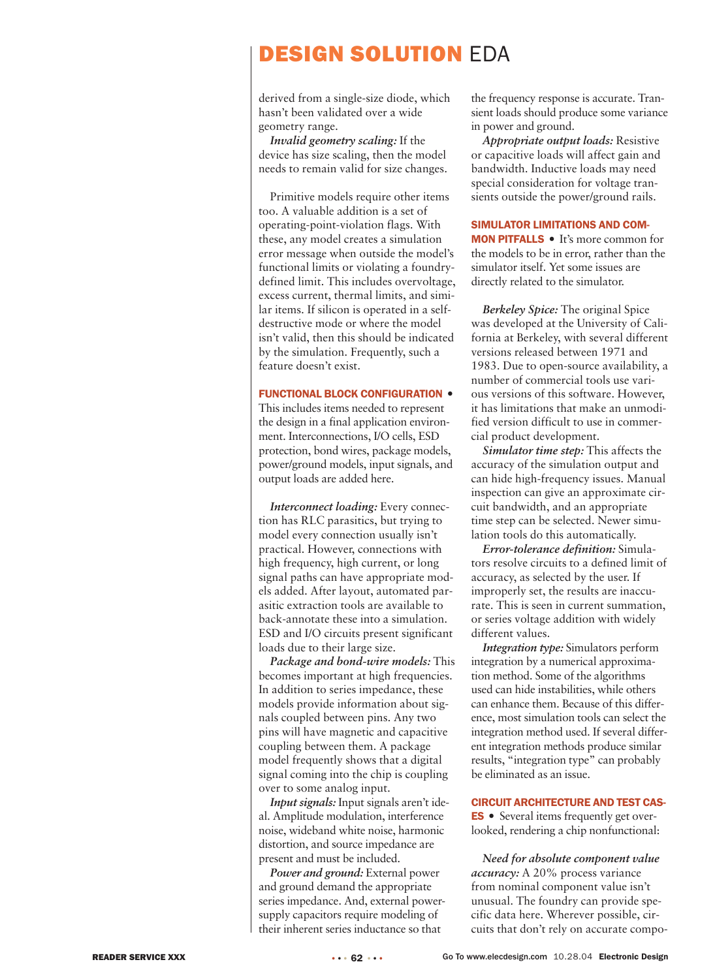## DESIGN SOLUTION EDA

derived from a single-size diode, which hasn't been validated over a wide geometry range.

*Invalid geometry scaling:* If the device has size scaling, then the model needs to remain valid for size changes.

Primitive models require other items too. A valuable addition is a set of operating-point-violation flags. With these, any model creates a simulation error message when outside the model's functional limits or violating a foundrydefined limit. This includes overvoltage, excess current, thermal limits, and similar items. If silicon is operated in a selfdestructive mode or where the model isn't valid, then this should be indicated by the simulation. Frequently, such a feature doesn't exist.

#### FUNCTIONAL BLOCK CONFIGURATION •

This includes items needed to represent the design in a final application environment. Interconnections, I/O cells, ESD protection, bond wires, package models, power/ground models, input signals, and output loads are added here.

*Interconnect loading:* Every connection has RLC parasitics, but trying to model every connection usually isn't practical. However, connections with high frequency, high current, or long signal paths can have appropriate models added. After layout, automated parasitic extraction tools are available to back-annotate these into a simulation. ESD and I/O circuits present significant loads due to their large size.

*Package and bond-wire models:* This becomes important at high frequencies. In addition to series impedance, these models provide information about signals coupled between pins. Any two pins will have magnetic and capacitive coupling between them. A package model frequently shows that a digital signal coming into the chip is coupling over to some analog input.

*Input signals:* Input signals aren't ideal. Amplitude modulation, interference noise, wideband white noise, harmonic distortion, and source impedance are present and must be included.

*Power and ground:* External power and ground demand the appropriate series impedance. And, external powersupply capacitors require modeling of their inherent series inductance so that

the frequency response is accurate. Transient loads should produce some variance in power and ground.

*Appropriate output loads:* Resistive or capacitive loads will affect gain and bandwidth. Inductive loads may need special consideration for voltage transients outside the power/ground rails.

#### SIMULATOR LIMITATIONS AND COM-

MON PITFALLS • It's more common for the models to be in error, rather than the simulator itself. Yet some issues are directly related to the simulator.

*Berkeley Spice:* The original Spice was developed at the University of California at Berkeley, with several different versions released between 1971 and 1983. Due to open-source availability, a number of commercial tools use various versions of this software. However, it has limitations that make an unmodified version difficult to use in commercial product development.

*Simulator time step:* This affects the accuracy of the simulation output and can hide high-frequency issues. Manual inspection can give an approximate circuit bandwidth, and an appropriate time step can be selected. Newer simulation tools do this automatically.

*Error-tolerance definition:* Simulators resolve circuits to a defined limit of accuracy, as selected by the user. If improperly set, the results are inaccurate. This is seen in current summation, or series voltage addition with widely different values.

*Integration type:* Simulators perform integration by a numerical approximation method. Some of the algorithms used can hide instabilities, while others can enhance them. Because of this difference, most simulation tools can select the integration method used. If several different integration methods produce similar results, "integration type" can probably be eliminated as an issue.

#### CIRCUIT ARCHITECTURE AND TEST CAS-

ES • Several items frequently get overlooked, rendering a chip nonfunctional:

*Need for absolute component value accuracy:* A 20% process variance from nominal component value isn't unusual. The foundry can provide specific data here. Wherever possible, circuits that don't rely on accurate compo-